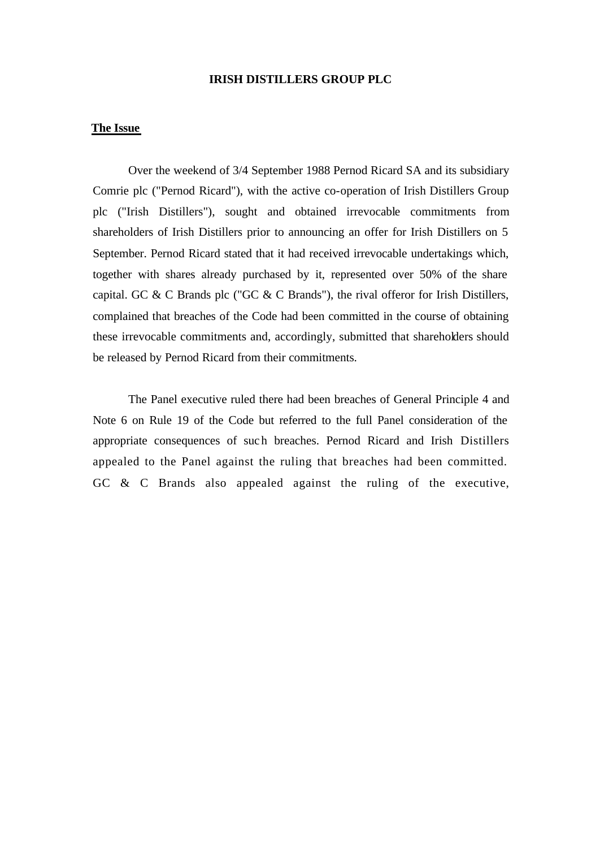## **IRISH DISTILLERS GROUP PLC**

## **The Issue**

Over the weekend of 3/4 September 1988 Pernod Ricard SA and its subsidiary Comrie plc ("Pernod Ricard"), with the active co-operation of Irish Distillers Group plc ("Irish Distillers"), sought and obtained irrevocable commitments from shareholders of Irish Distillers prior to announcing an offer for Irish Distillers on 5 September. Pernod Ricard stated that it had received irrevocable undertakings which, together with shares already purchased by it, represented over 50% of the share capital. GC & C Brands plc ("GC & C Brands"), the rival offeror for Irish Distillers, complained that breaches of the Code had been committed in the course of obtaining these irrevocable commitments and, accordingly, submitted that shareholders should be released by Pernod Ricard from their commitments.

The Panel executive ruled there had been breaches of General Principle 4 and Note 6 on Rule 19 of the Code but referred to the full Panel consideration of the appropriate consequences of such breaches. Pernod Ricard and Irish Distillers appealed to the Panel against the ruling that breaches had been committed. GC & C Brands also appealed against the ruling of the executive,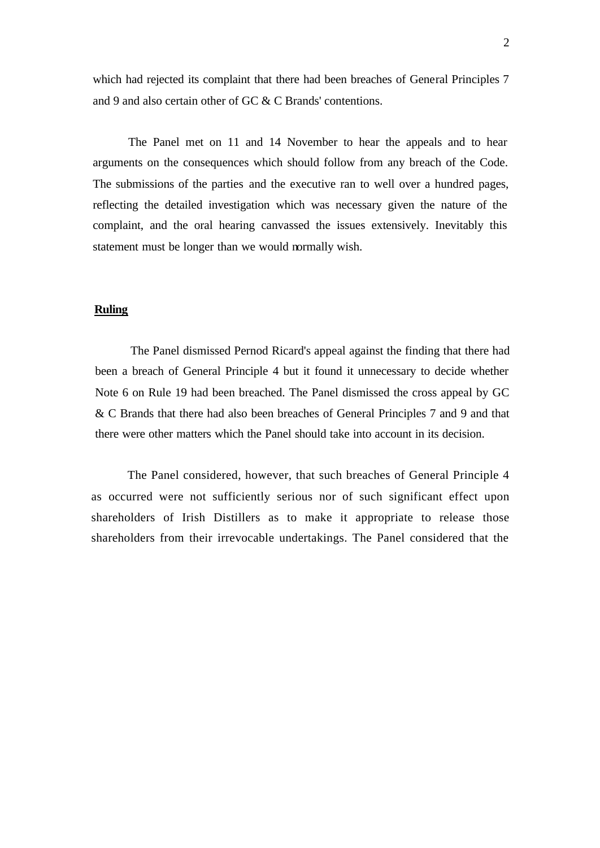which had rejected its complaint that there had been breaches of General Principles 7 and 9 and also certain other of GC & C Brands' contentions.

The Panel met on 11 and 14 November to hear the appeals and to hear arguments on the consequences which should follow from any breach of the Code. The submissions of the parties and the executive ran to well over a hundred pages, reflecting the detailed investigation which was necessary given the nature of the complaint, and the oral hearing canvassed the issues extensively. Inevitably this statement must be longer than we would normally wish.

## **Ruling**

The Panel dismissed Pernod Ricard's appeal against the finding that there had been a breach of General Principle 4 but it found it unnecessary to decide whether Note 6 on Rule 19 had been breached. The Panel dismissed the cross appeal by GC & C Brands that there had also been breaches of General Principles 7 and 9 and that there were other matters which the Panel should take into account in its decision.

The Panel considered, however, that such breaches of General Principle 4 as occurred were not sufficiently serious nor of such significant effect upon shareholders of Irish Distillers as to make it appropriate to release those shareholders from their irrevocable undertakings. The Panel considered that the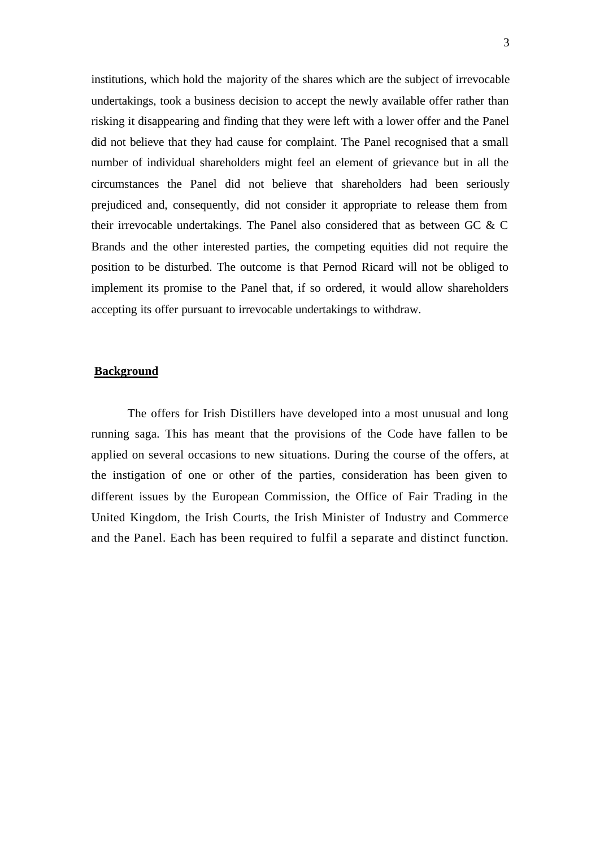institutions, which hold the majority of the shares which are the subject of irrevocable undertakings, took a business decision to accept the newly available offer rather than risking it disappearing and finding that they were left with a lower offer and the Panel did not believe that they had cause for complaint. The Panel recognised that a small number of individual shareholders might feel an element of grievance but in all the circumstances the Panel did not believe that shareholders had been seriously prejudiced and, consequently, did not consider it appropriate to release them from their irrevocable undertakings. The Panel also considered that as between GC & C Brands and the other interested parties, the competing equities did not require the position to be disturbed. The outcome is that Pernod Ricard will not be obliged to implement its promise to the Panel that, if so ordered, it would allow shareholders accepting its offer pursuant to irrevocable undertakings to withdraw.

## **Background**

The offers for Irish Distillers have developed into a most unusual and long running saga. This has meant that the provisions of the Code have fallen to be applied on several occasions to new situations. During the course of the offers, at the instigation of one or other of the parties, consideration has been given to different issues by the European Commission, the Office of Fair Trading in the United Kingdom, the Irish Courts, the Irish Minister of Industry and Commerce and the Panel. Each has been required to fulfil a separate and distinct function.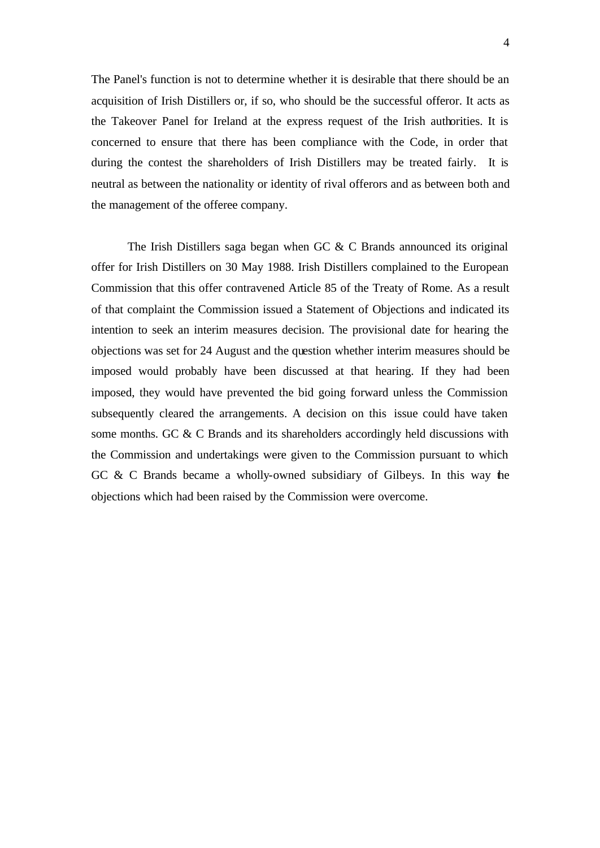The Panel's function is not to determine whether it is desirable that there should be an acquisition of Irish Distillers or, if so, who should be the successful offeror. It acts as the Takeover Panel for Ireland at the express request of the Irish authorities. It is concerned to ensure that there has been compliance with the Code, in order that during the contest the shareholders of Irish Distillers may be treated fairly. It is neutral as between the nationality or identity of rival offerors and as between both and the management of the offeree company.

The Irish Distillers saga began when GC & C Brands announced its original offer for Irish Distillers on 30 May 1988. Irish Distillers complained to the European Commission that this offer contravened Article 85 of the Treaty of Rome. As a result of that complaint the Commission issued a Statement of Objections and indicated its intention to seek an interim measures decision. The provisional date for hearing the objections was set for 24 August and the question whether interim measures should be imposed would probably have been discussed at that hearing. If they had been imposed, they would have prevented the bid going forward unless the Commission subsequently cleared the arrangements. A decision on this issue could have taken some months. GC & C Brands and its shareholders accordingly held discussions with the Commission and undertakings were given to the Commission pursuant to which GC & C Brands became a wholly-owned subsidiary of Gilbeys. In this way the objections which had been raised by the Commission were overcome.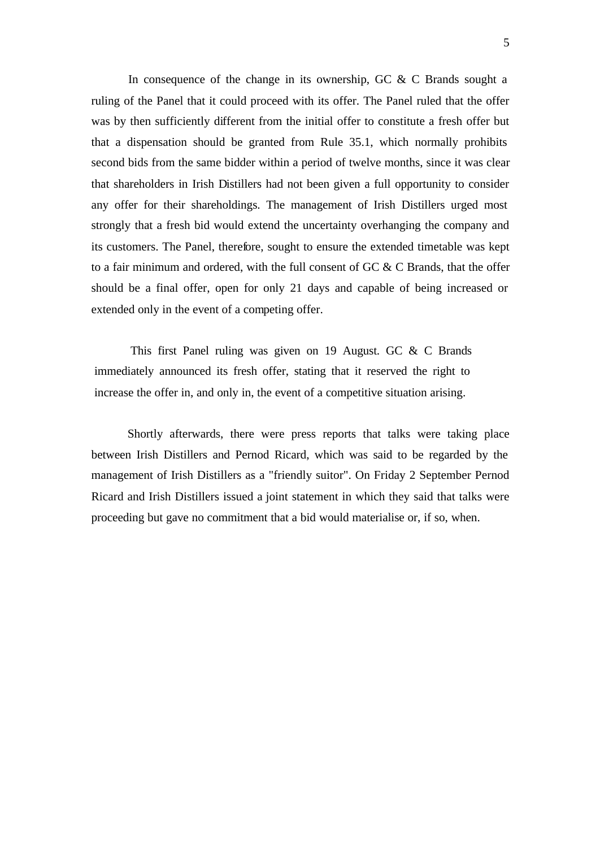In consequence of the change in its ownership, GC  $&$  C Brands sought a ruling of the Panel that it could proceed with its offer. The Panel ruled that the offer was by then sufficiently different from the initial offer to constitute a fresh offer but that a dispensation should be granted from Rule 35.1, which normally prohibits second bids from the same bidder within a period of twelve months, since it was clear that shareholders in Irish Distillers had not been given a full opportunity to consider any offer for their shareholdings. The management of Irish Distillers urged most strongly that a fresh bid would extend the uncertainty overhanging the company and its customers. The Panel, therefore, sought to ensure the extended timetable was kept to a fair minimum and ordered, with the full consent of GC & C Brands, that the offer should be a final offer, open for only 21 days and capable of being increased or extended only in the event of a competing offer.

This first Panel ruling was given on 19 August. GC & C Brands immediately announced its fresh offer, stating that it reserved the right to increase the offer in, and only in, the event of a competitive situation arising.

Shortly afterwards, there were press reports that talks were taking place between Irish Distillers and Pernod Ricard, which was said to be regarded by the management of Irish Distillers as a "friendly suitor". On Friday 2 September Pernod Ricard and Irish Distillers issued a joint statement in which they said that talks were proceeding but gave no commitment that a bid would materialise or, if so, when.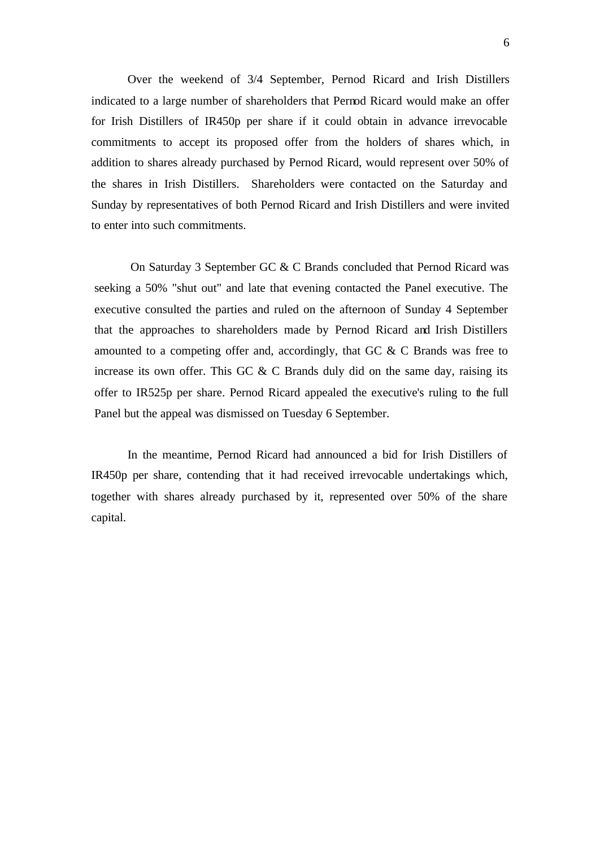Over the weekend of 3/4 September, Pernod Ricard and Irish Distillers indicated to a large number of shareholders that Pernod Ricard would make an offer for Irish Distillers of IR450p per share if it could obtain in advance irrevocable commitments to accept its proposed offer from the holders of shares which, in addition to shares already purchased by Pernod Ricard, would represent over 50% of the shares in Irish Distillers. Shareholders were contacted on the Saturday and Sunday by representatives of both Pernod Ricard and Irish Distillers and were invited to enter into such commitments.

On Saturday 3 September GC & C Brands concluded that Pernod Ricard was seeking a 50% "shut out" and late that evening contacted the Panel executive. The executive consulted the parties and ruled on the afternoon of Sunday 4 September that the approaches to shareholders made by Pernod Ricard and Irish Distillers amounted to a competing offer and, accordingly, that GC & C Brands was free to increase its own offer. This GC  $\&$  C Brands duly did on the same day, raising its offer to IR525p per share. Pernod Ricard appealed the executive's ruling to the full Panel but the appeal was dismissed on Tuesday 6 September.

In the meantime, Pernod Ricard had announced a bid for Irish Distillers of IR450p per share, contending that it had received irrevocable undertakings which, together with shares already purchased by it, represented over 50% of the share capital.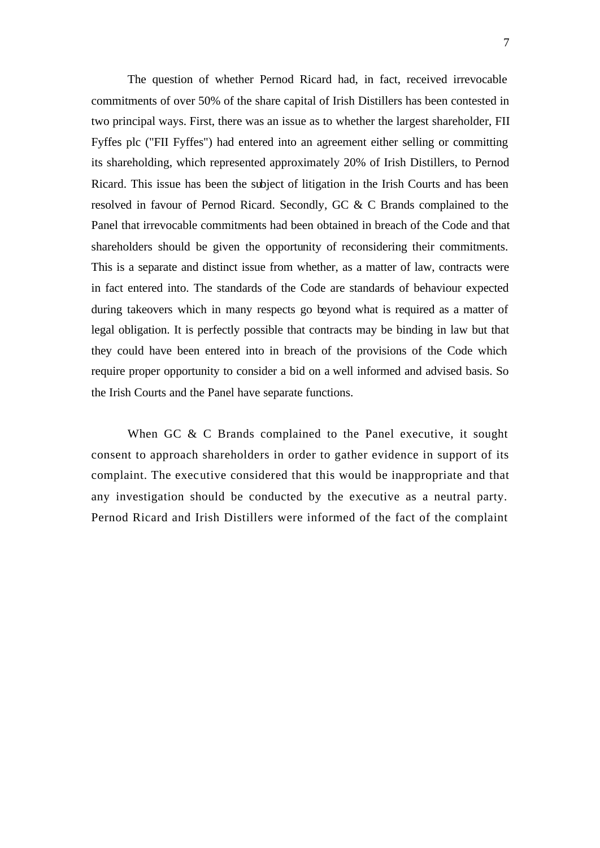The question of whether Pernod Ricard had, in fact, received irrevocable commitments of over 50% of the share capital of Irish Distillers has been contested in two principal ways. First, there was an issue as to whether the largest shareholder, FII Fyffes plc ("FII Fyffes") had entered into an agreement either selling or committing its shareholding, which represented approximately 20% of Irish Distillers, to Pernod Ricard. This issue has been the subject of litigation in the Irish Courts and has been resolved in favour of Pernod Ricard. Secondly, GC & C Brands complained to the Panel that irrevocable commitments had been obtained in breach of the Code and that shareholders should be given the opportunity of reconsidering their commitments. This is a separate and distinct issue from whether, as a matter of law, contracts were in fact entered into. The standards of the Code are standards of behaviour expected during takeovers which in many respects go beyond what is required as a matter of legal obligation. It is perfectly possible that contracts may be binding in law but that they could have been entered into in breach of the provisions of the Code which require proper opportunity to consider a bid on a well informed and advised basis. So the Irish Courts and the Panel have separate functions.

When GC & C Brands complained to the Panel executive, it sought consent to approach shareholders in order to gather evidence in support of its complaint. The executive considered that this would be inappropriate and that any investigation should be conducted by the executive as a neutral party. Pernod Ricard and Irish Distillers were informed of the fact of the complaint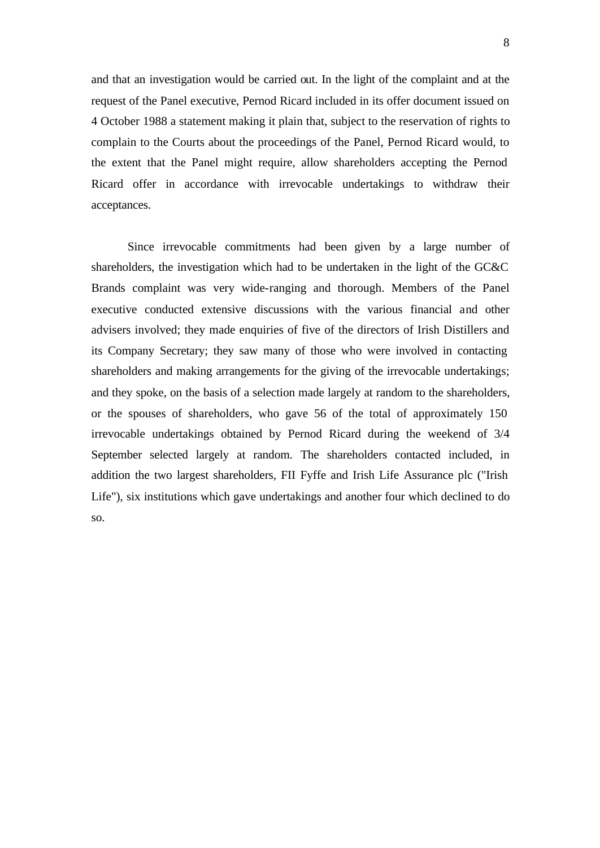and that an investigation would be carried out. In the light of the complaint and at the request of the Panel executive, Pernod Ricard included in its offer document issued on 4 October 1988 a statement making it plain that, subject to the reservation of rights to complain to the Courts about the proceedings of the Panel, Pernod Ricard would, to the extent that the Panel might require, allow shareholders accepting the Pernod Ricard offer in accordance with irrevocable undertakings to withdraw their acceptances.

Since irrevocable commitments had been given by a large number of shareholders, the investigation which had to be undertaken in the light of the GC&C Brands complaint was very wide-ranging and thorough. Members of the Panel executive conducted extensive discussions with the various financial and other advisers involved; they made enquiries of five of the directors of Irish Distillers and its Company Secretary; they saw many of those who were involved in contacting shareholders and making arrangements for the giving of the irrevocable undertakings; and they spoke, on the basis of a selection made largely at random to the shareholders, or the spouses of shareholders, who gave 56 of the total of approximately 150 irrevocable undertakings obtained by Pernod Ricard during the weekend of 3/4 September selected largely at random. The shareholders contacted included, in addition the two largest shareholders, FII Fyffe and Irish Life Assurance plc ("Irish Life"), six institutions which gave undertakings and another four which declined to do so.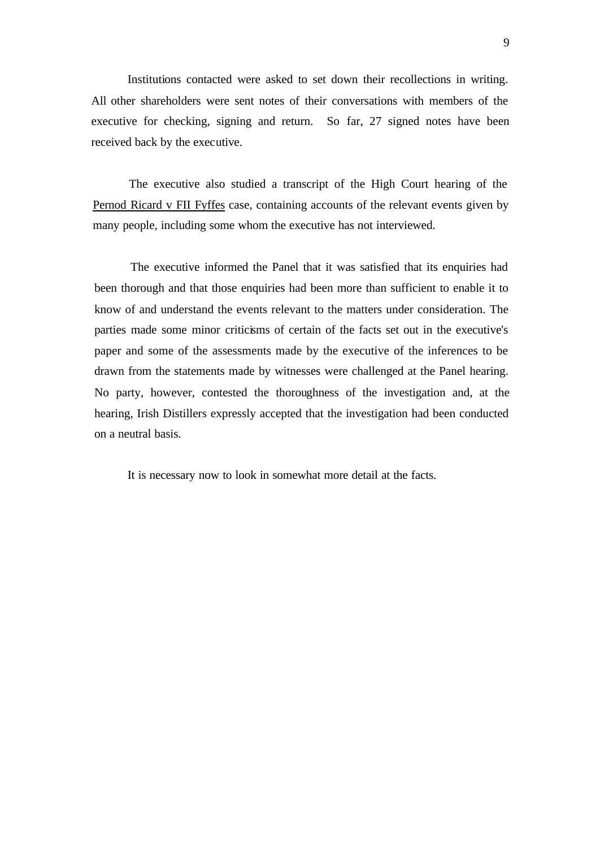Institutions contacted were asked to set down their recollections in writing. All other shareholders were sent notes of their conversations with members of the executive for checking, signing and return. So far, 27 signed notes have been received back by the executive.

The executive also studied a transcript of the High Court hearing of the Pernod Ricard v FII Fyffes case, containing accounts of the relevant events given by many people, including some whom the executive has not interviewed.

The executive informed the Panel that it was satisfied that its enquiries had been thorough and that those enquiries had been more than sufficient to enable it to know of and understand the events relevant to the matters under consideration. The parties made some minor criticisms of certain of the facts set out in the executive's paper and some of the assessments made by the executive of the inferences to be drawn from the statements made by witnesses were challenged at the Panel hearing. No party, however, contested the thoroughness of the investigation and, at the hearing, Irish Distillers expressly accepted that the investigation had been conducted on a neutral basis.

It is necessary now to look in somewhat more detail at the facts.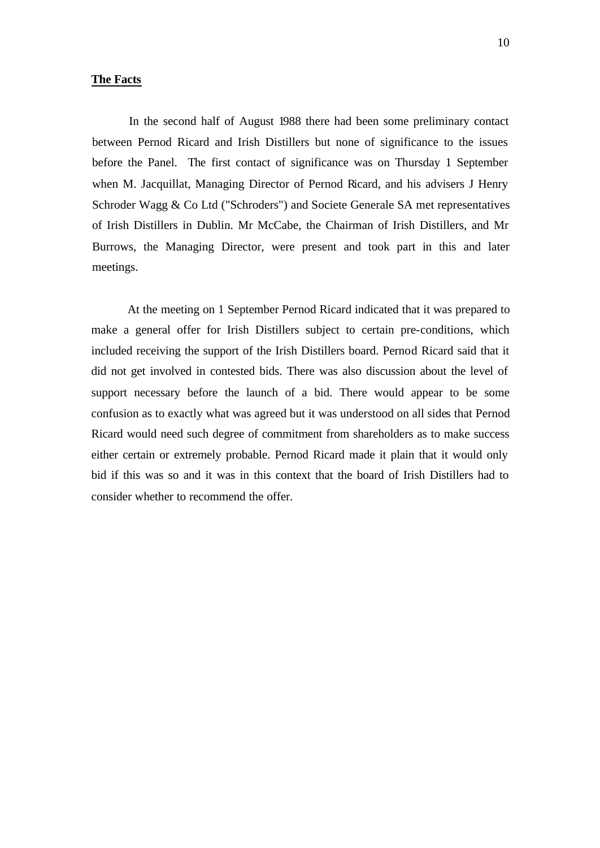#### **The Facts**

In the second half of August 1988 there had been some preliminary contact between Pernod Ricard and Irish Distillers but none of significance to the issues before the Panel. The first contact of significance was on Thursday 1 September when M. Jacquillat, Managing Director of Pernod Ricard, and his advisers J Henry Schroder Wagg & Co Ltd ("Schroders") and Societe Generale SA met representatives of Irish Distillers in Dublin. Mr McCabe, the Chairman of Irish Distillers, and Mr Burrows, the Managing Director, were present and took part in this and later meetings.

At the meeting on 1 September Pernod Ricard indicated that it was prepared to make a general offer for Irish Distillers subject to certain pre-conditions, which included receiving the support of the Irish Distillers board. Pernod Ricard said that it did not get involved in contested bids. There was also discussion about the level of support necessary before the launch of a bid. There would appear to be some confusion as to exactly what was agreed but it was understood on all sides that Pernod Ricard would need such degree of commitment from shareholders as to make success either certain or extremely probable. Pernod Ricard made it plain that it would only bid if this was so and it was in this context that the board of Irish Distillers had to consider whether to recommend the offer.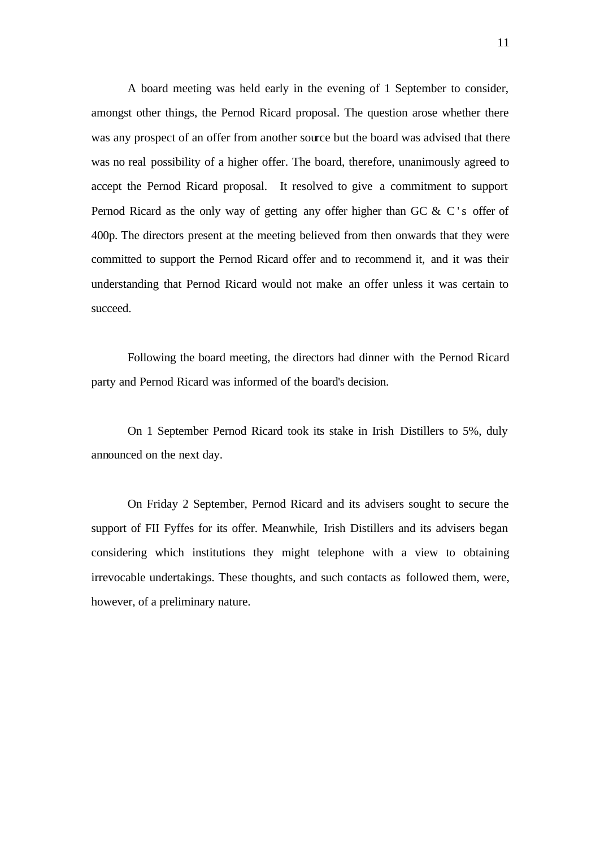A board meeting was held early in the evening of 1 September to consider, amongst other things, the Pernod Ricard proposal. The question arose whether there was any prospect of an offer from another source but the board was advised that there was no real possibility of a higher offer. The board, therefore, unanimously agreed to accept the Pernod Ricard proposal. It resolved to give a commitment to support Pernod Ricard as the only way of getting any offer higher than GC & C's offer of 400p. The directors present at the meeting believed from then onwards that they were committed to support the Pernod Ricard offer and to recommend it, and it was their understanding that Pernod Ricard would not make an offer unless it was certain to succeed.

Following the board meeting, the directors had dinner with the Pernod Ricard party and Pernod Ricard was informed of the board's decision.

On 1 September Pernod Ricard took its stake in Irish Distillers to 5%, duly announced on the next day.

On Friday 2 September, Pernod Ricard and its advisers sought to secure the support of FII Fyffes for its offer. Meanwhile, Irish Distillers and its advisers began considering which institutions they might telephone with a view to obtaining irrevocable undertakings. These thoughts, and such contacts as followed them, were, however, of a preliminary nature.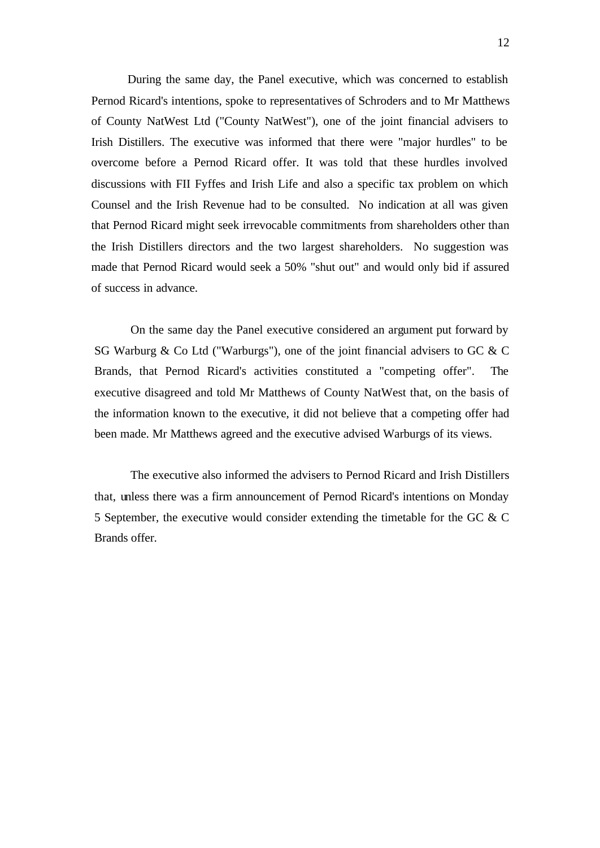During the same day, the Panel executive, which was concerned to establish Pernod Ricard's intentions, spoke to representatives of Schroders and to Mr Matthews of County NatWest Ltd ("County NatWest"), one of the joint financial advisers to Irish Distillers. The executive was informed that there were "major hurdles" to be overcome before a Pernod Ricard offer. It was told that these hurdles involved discussions with FII Fyffes and Irish Life and also a specific tax problem on which Counsel and the Irish Revenue had to be consulted. No indication at all was given that Pernod Ricard might seek irrevocable commitments from shareholders other than the Irish Distillers directors and the two largest shareholders. No suggestion was made that Pernod Ricard would seek a 50% "shut out" and would only bid if assured of success in advance.

On the same day the Panel executive considered an argument put forward by SG Warburg & Co Ltd ("Warburgs"), one of the joint financial advisers to GC & C Brands, that Pernod Ricard's activities constituted a "competing offer". The executive disagreed and told Mr Matthews of County NatWest that, on the basis of the information known to the executive, it did not believe that a competing offer had been made. Mr Matthews agreed and the executive advised Warburgs of its views.

The executive also informed the advisers to Pernod Ricard and Irish Distillers that, unless there was a firm announcement of Pernod Ricard's intentions on Monday 5 September, the executive would consider extending the timetable for the GC & C Brands offer.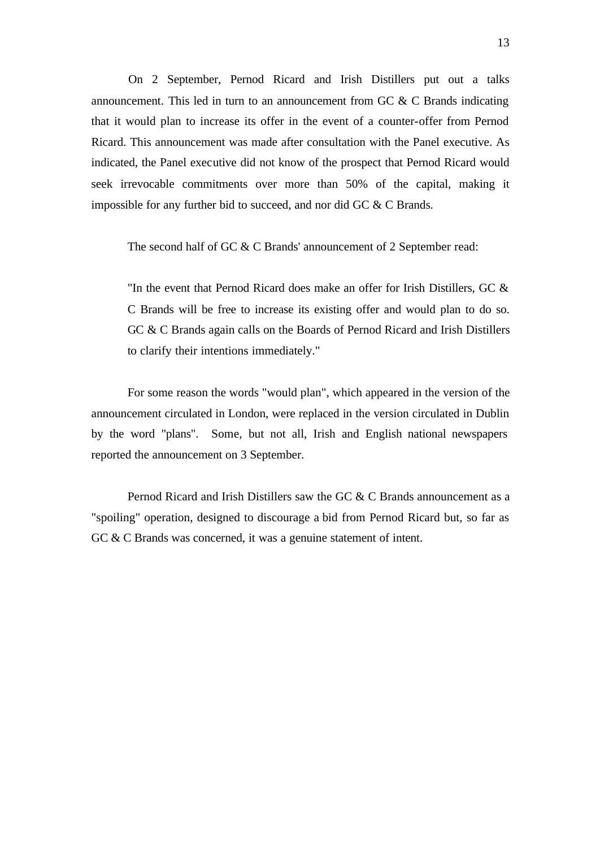On 2 September, Pernod Ricard and Irish Distillers put out a talks announcement. This led in turn to an announcement from GC & C Brands indicating that it would plan to increase its offer in the event of a counter-offer from Pernod Ricard. This announcement was made after consultation with the Panel executive. As indicated, the Panel executive did not know of the prospect that Pernod Ricard would seek irrevocable commitments over more than 50% of the capital, making it impossible for any further bid to succeed, and nor did GC & C Brands.

The second half of GC & C Brands' announcement of 2 September read:

"In the event that Pernod Ricard does make an offer for Irish Distillers, GC & C Brands will be free to increase its existing offer and would plan to do so. GC & C Brands again calls on the Boards of Pernod Ricard and Irish Distillers to clarify their intentions immediately."

For some reason the words "would plan", which appeared in the version of the announcement circulated in London, were replaced in the version circulated in Dublin by the word "plans". Some, but not all, Irish and English national newspapers reported the announcement on 3 September.

Pernod Ricard and Irish Distillers saw the GC & C Brands announcement as a "spoiling" operation, designed to discourage a bid from Pernod Ricard but, so far as GC & C Brands was concerned, it was a genuine statement of intent.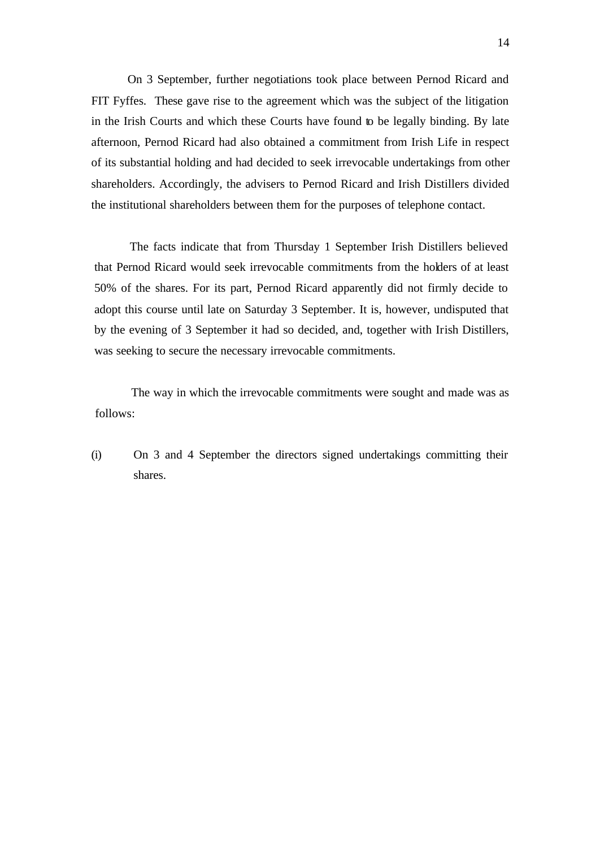On 3 September, further negotiations took place between Pernod Ricard and FIT Fyffes. These gave rise to the agreement which was the subject of the litigation in the Irish Courts and which these Courts have found to be legally binding. By late afternoon, Pernod Ricard had also obtained a commitment from Irish Life in respect of its substantial holding and had decided to seek irrevocable undertakings from other shareholders. Accordingly, the advisers to Pernod Ricard and Irish Distillers divided the institutional shareholders between them for the purposes of telephone contact.

The facts indicate that from Thursday 1 September Irish Distillers believed that Pernod Ricard would seek irrevocable commitments from the holders of at least 50% of the shares. For its part, Pernod Ricard apparently did not firmly decide to adopt this course until late on Saturday 3 September. It is, however, undisputed that by the evening of 3 September it had so decided, and, together with Irish Distillers, was seeking to secure the necessary irrevocable commitments.

The way in which the irrevocable commitments were sought and made was as follows:

(i) On 3 and 4 September the directors signed undertakings committing their shares.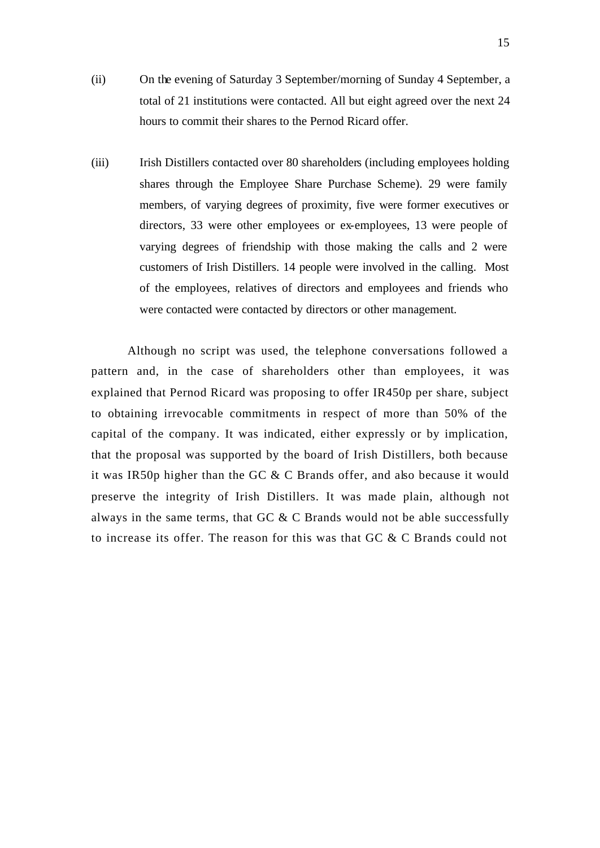- (ii) On the evening of Saturday 3 September/morning of Sunday 4 September, a total of 21 institutions were contacted. All but eight agreed over the next 24 hours to commit their shares to the Pernod Ricard offer.
- (iii) Irish Distillers contacted over 80 shareholders (including employees holding shares through the Employee Share Purchase Scheme). 29 were family members, of varying degrees of proximity, five were former executives or directors, 33 were other employees or ex-employees, 13 were people of varying degrees of friendship with those making the calls and 2 were customers of Irish Distillers. 14 people were involved in the calling. Most of the employees, relatives of directors and employees and friends who were contacted were contacted by directors or other management.

Although no script was used, the telephone conversations followed a pattern and, in the case of shareholders other than employees, it was explained that Pernod Ricard was proposing to offer IR450p per share, subject to obtaining irrevocable commitments in respect of more than 50% of the capital of the company. It was indicated, either expressly or by implication, that the proposal was supported by the board of Irish Distillers, both because it was IR50p higher than the GC & C Brands offer, and also because it would preserve the integrity of Irish Distillers. It was made plain, although not always in the same terms, that GC & C Brands would not be able successfully to increase its offer. The reason for this was that GC & C Brands could not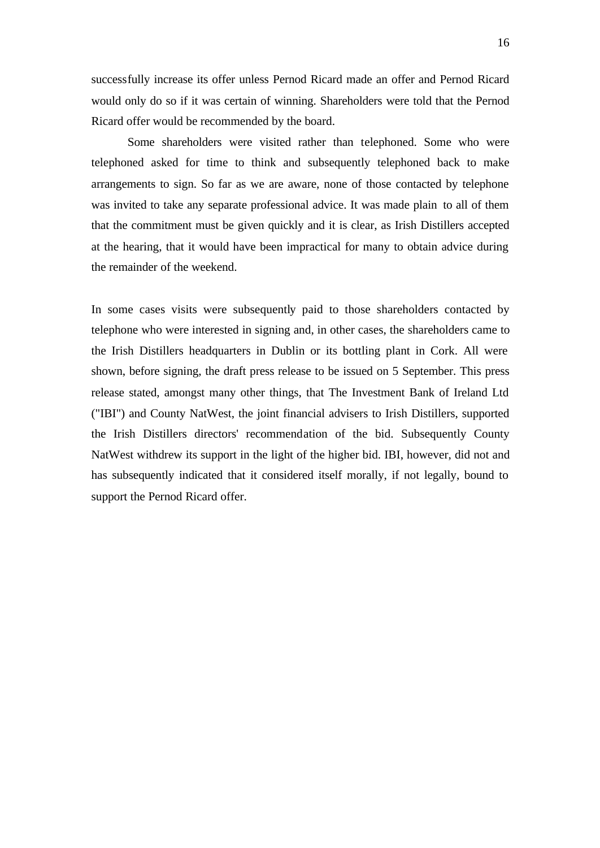successfully increase its offer unless Pernod Ricard made an offer and Pernod Ricard would only do so if it was certain of winning. Shareholders were told that the Pernod Ricard offer would be recommended by the board.

Some shareholders were visited rather than telephoned. Some who were telephoned asked for time to think and subsequently telephoned back to make arrangements to sign. So far as we are aware, none of those contacted by telephone was invited to take any separate professional advice. It was made plain to all of them that the commitment must be given quickly and it is clear, as Irish Distillers accepted at the hearing, that it would have been impractical for many to obtain advice during the remainder of the weekend.

In some cases visits were subsequently paid to those shareholders contacted by telephone who were interested in signing and, in other cases, the shareholders came to the Irish Distillers headquarters in Dublin or its bottling plant in Cork. All were shown, before signing, the draft press release to be issued on 5 September. This press release stated, amongst many other things, that The Investment Bank of Ireland Ltd ("IBI") and County NatWest, the joint financial advisers to Irish Distillers, supported the Irish Distillers directors' recommendation of the bid. Subsequently County NatWest withdrew its support in the light of the higher bid. IBI, however, did not and has subsequently indicated that it considered itself morally, if not legally, bound to support the Pernod Ricard offer.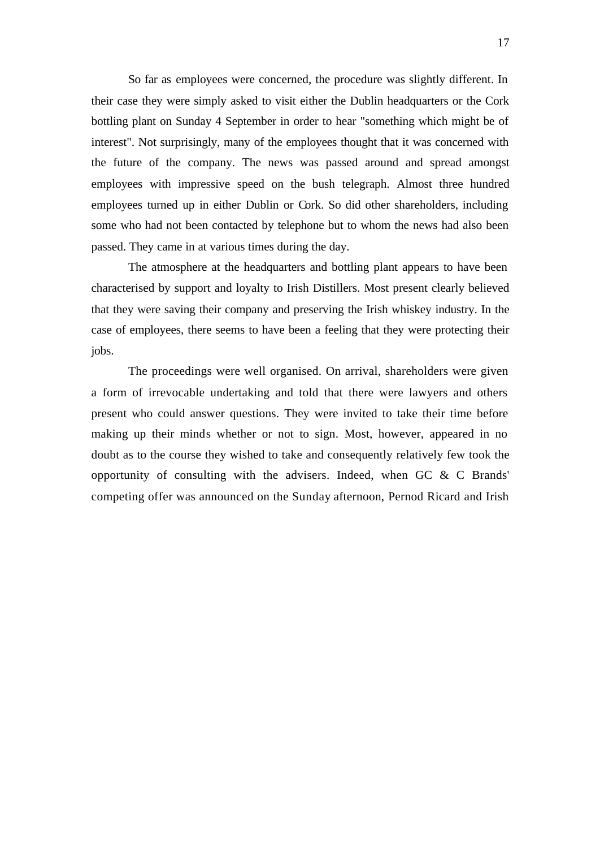So far as employees were concerned, the procedure was slightly different. In their case they were simply asked to visit either the Dublin headquarters or the Cork bottling plant on Sunday 4 September in order to hear "something which might be of interest". Not surprisingly, many of the employees thought that it was concerned with the future of the company. The news was passed around and spread amongst employees with impressive speed on the bush telegraph. Almost three hundred employees turned up in either Dublin or Cork. So did other shareholders, including some who had not been contacted by telephone but to whom the news had also been passed. They came in at various times during the day.

The atmosphere at the headquarters and bottling plant appears to have been characterised by support and loyalty to Irish Distillers. Most present clearly believed that they were saving their company and preserving the Irish whiskey industry. In the case of employees, there seems to have been a feeling that they were protecting their jobs.

The proceedings were well organised. On arrival, shareholders were given a form of irrevocable undertaking and told that there were lawyers and others present who could answer questions. They were invited to take their time before making up their minds whether or not to sign. Most, however, appeared in no doubt as to the course they wished to take and consequently relatively few took the opportunity of consulting with the advisers. Indeed, when GC & C Brands' competing offer was announced on the Sunday afternoon, Pernod Ricard and Irish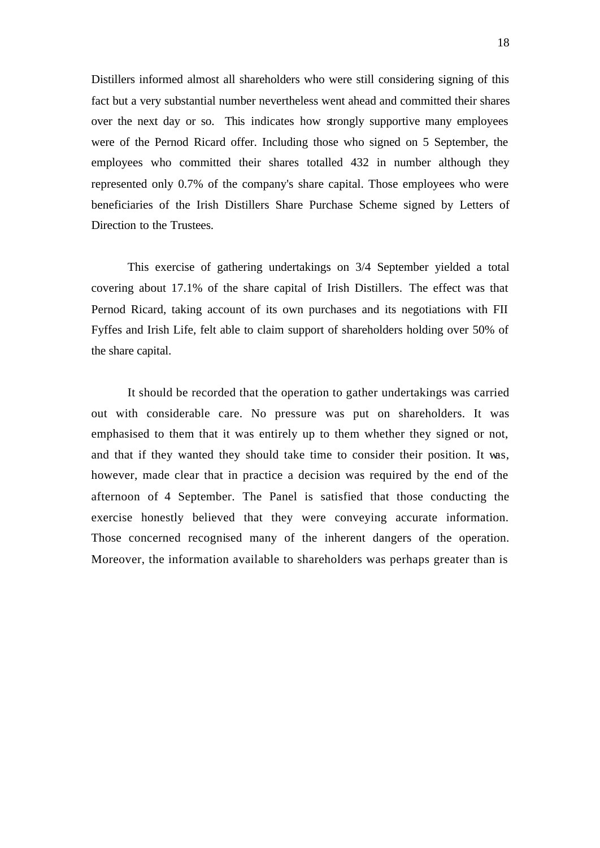Distillers informed almost all shareholders who were still considering signing of this fact but a very substantial number nevertheless went ahead and committed their shares over the next day or so. This indicates how strongly supportive many employees were of the Pernod Ricard offer. Including those who signed on 5 September, the employees who committed their shares totalled 432 in number although they represented only 0.7% of the company's share capital. Those employees who were beneficiaries of the Irish Distillers Share Purchase Scheme signed by Letters of Direction to the Trustees.

This exercise of gathering undertakings on 3/4 September yielded a total covering about 17.1% of the share capital of Irish Distillers. The effect was that Pernod Ricard, taking account of its own purchases and its negotiations with FII Fyffes and Irish Life, felt able to claim support of shareholders holding over 50% of the share capital.

It should be recorded that the operation to gather undertakings was carried out with considerable care. No pressure was put on shareholders. It was emphasised to them that it was entirely up to them whether they signed or not, and that if they wanted they should take time to consider their position. It was, however, made clear that in practice a decision was required by the end of the afternoon of 4 September. The Panel is satisfied that those conducting the exercise honestly believed that they were conveying accurate information. Those concerned recognised many of the inherent dangers of the operation. Moreover, the information available to shareholders was perhaps greater than is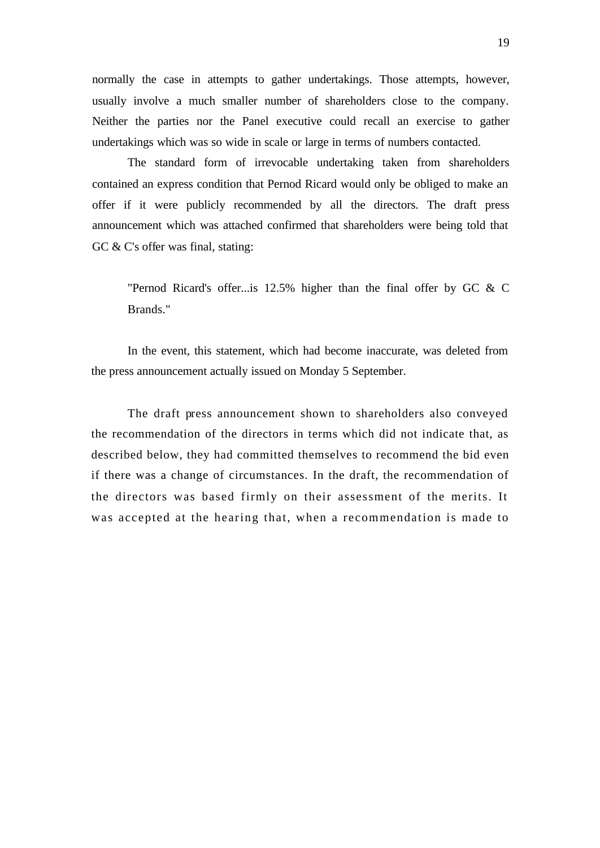normally the case in attempts to gather undertakings. Those attempts, however, usually involve a much smaller number of shareholders close to the company. Neither the parties nor the Panel executive could recall an exercise to gather undertakings which was so wide in scale or large in terms of numbers contacted.

The standard form of irrevocable undertaking taken from shareholders contained an express condition that Pernod Ricard would only be obliged to make an offer if it were publicly recommended by all the directors. The draft press announcement which was attached confirmed that shareholders were being told that GC & C's offer was final, stating:

"Pernod Ricard's offer...is 12.5% higher than the final offer by GC & C Brands."

In the event, this statement, which had become inaccurate, was deleted from the press announcement actually issued on Monday 5 September.

The draft press announcement shown to shareholders also conveyed the recommendation of the directors in terms which did not indicate that, as described below, they had committed themselves to recommend the bid even if there was a change of circumstances. In the draft, the recommendation of the directors was based firmly on their assessment of the merits. It was accepted at the hearing that, when a recommendation is made to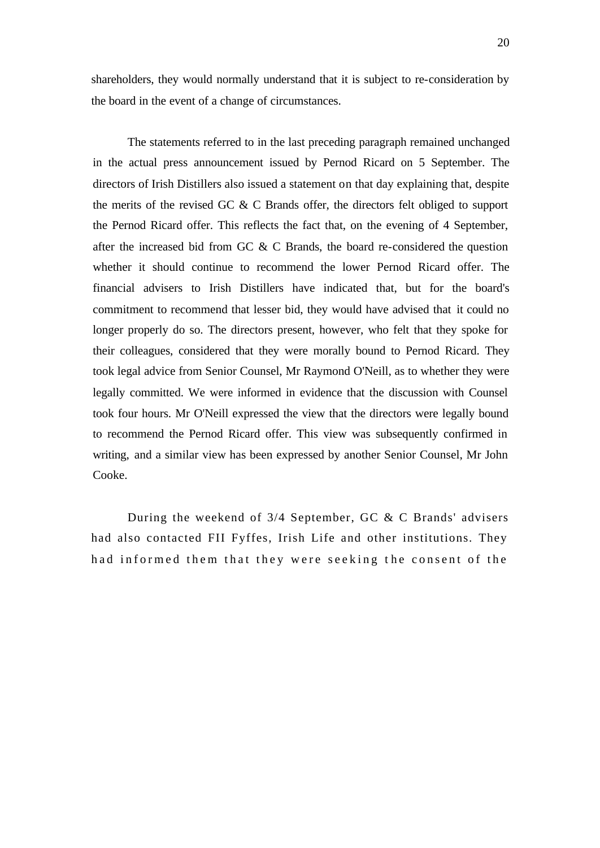shareholders, they would normally understand that it is subject to re-consideration by the board in the event of a change of circumstances.

The statements referred to in the last preceding paragraph remained unchanged in the actual press announcement issued by Pernod Ricard on 5 September. The directors of Irish Distillers also issued a statement on that day explaining that, despite the merits of the revised GC & C Brands offer, the directors felt obliged to support the Pernod Ricard offer. This reflects the fact that, on the evening of 4 September, after the increased bid from GC & C Brands, the board re-considered the question whether it should continue to recommend the lower Pernod Ricard offer. The financial advisers to Irish Distillers have indicated that, but for the board's commitment to recommend that lesser bid, they would have advised that it could no longer properly do so. The directors present, however, who felt that they spoke for their colleagues, considered that they were morally bound to Pernod Ricard. They took legal advice from Senior Counsel, Mr Raymond O'Neill, as to whether they were legally committed. We were informed in evidence that the discussion with Counsel took four hours. Mr O'Neill expressed the view that the directors were legally bound to recommend the Pernod Ricard offer. This view was subsequently confirmed in writing, and a similar view has been expressed by another Senior Counsel, Mr John Cooke.

During the weekend of 3/4 September, GC & C Brands' advisers had also contacted FII Fyffes, Irish Life and other institutions. They had informed them that they were seeking the consent of the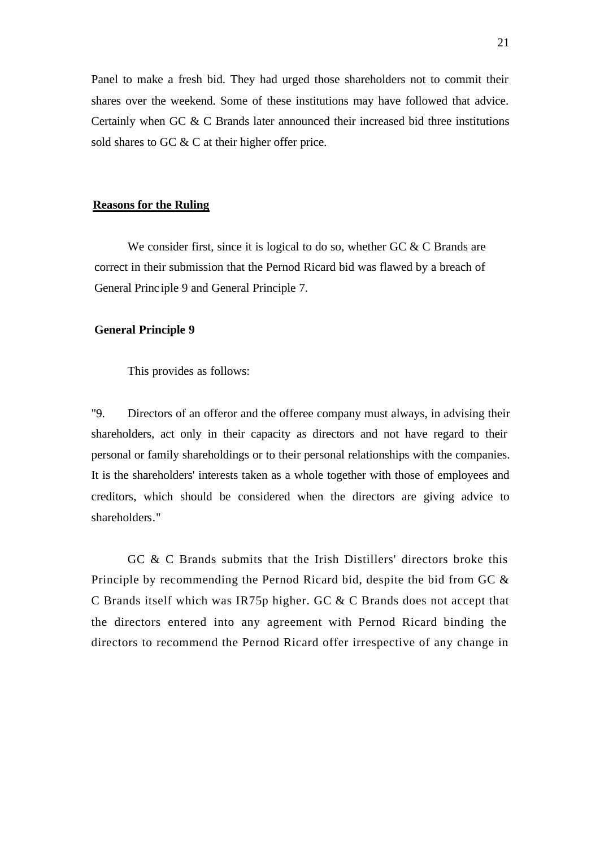Panel to make a fresh bid. They had urged those shareholders not to commit their shares over the weekend. Some of these institutions may have followed that advice. Certainly when GC & C Brands later announced their increased bid three institutions sold shares to GC & C at their higher offer price.

### **Reasons for the Ruling**

We consider first, since it is logical to do so, whether GC  $&C$  Brands are correct in their submission that the Pernod Ricard bid was flawed by a breach of General Princ iple 9 and General Principle 7.

## **General Principle 9**

This provides as follows:

"9. Directors of an offeror and the offeree company must always, in advising their shareholders, act only in their capacity as directors and not have regard to their personal or family shareholdings or to their personal relationships with the companies. It is the shareholders' interests taken as a whole together with those of employees and creditors, which should be considered when the directors are giving advice to shareholders."

GC & C Brands submits that the Irish Distillers' directors broke this Principle by recommending the Pernod Ricard bid, despite the bid from GC & C Brands itself which was IR75p higher. GC & C Brands does not accept that the directors entered into any agreement with Pernod Ricard binding the directors to recommend the Pernod Ricard offer irrespective of any change in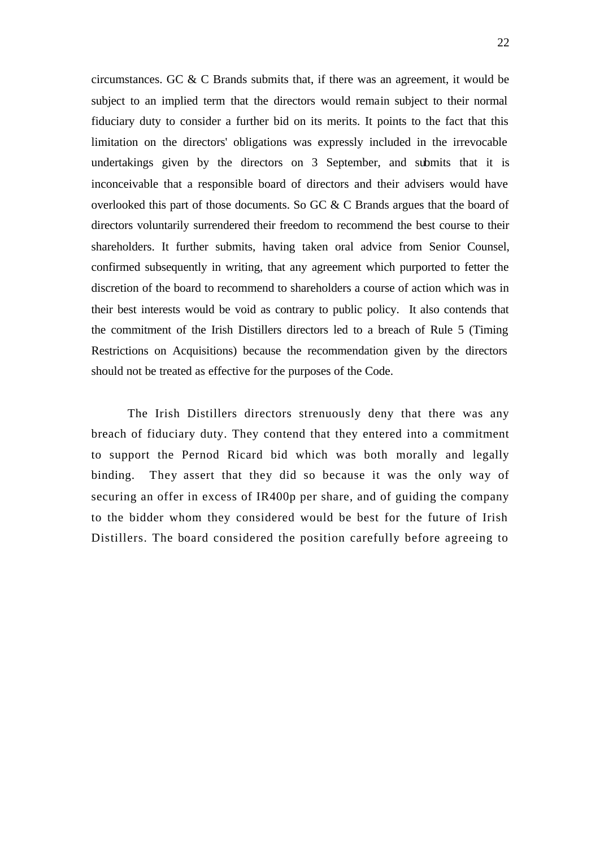circumstances. GC & C Brands submits that, if there was an agreement, it would be subject to an implied term that the directors would remain subject to their normal fiduciary duty to consider a further bid on its merits. It points to the fact that this limitation on the directors' obligations was expressly included in the irrevocable undertakings given by the directors on 3 September, and submits that it is inconceivable that a responsible board of directors and their advisers would have overlooked this part of those documents. So GC & C Brands argues that the board of directors voluntarily surrendered their freedom to recommend the best course to their shareholders. It further submits, having taken oral advice from Senior Counsel, confirmed subsequently in writing, that any agreement which purported to fetter the discretion of the board to recommend to shareholders a course of action which was in their best interests would be void as contrary to public policy. It also contends that the commitment of the Irish Distillers directors led to a breach of Rule 5 (Timing Restrictions on Acquisitions) because the recommendation given by the directors should not be treated as effective for the purposes of the Code.

The Irish Distillers directors strenuously deny that there was any breach of fiduciary duty. They contend that they entered into a commitment to support the Pernod Ricard bid which was both morally and legally binding. They assert that they did so because it was the only way of securing an offer in excess of IR400p per share, and of guiding the company to the bidder whom they considered would be best for the future of Irish Distillers. The board considered the position carefully before agreeing to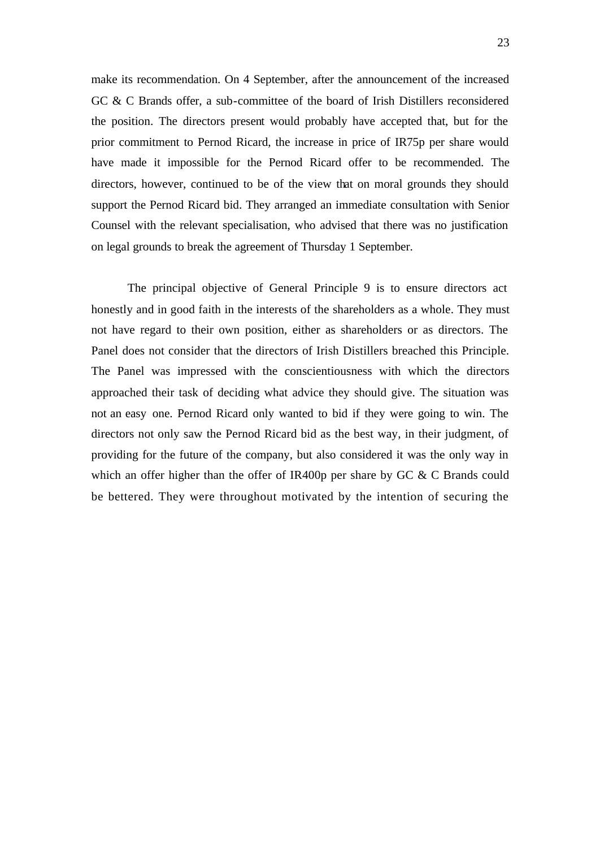make its recommendation. On 4 September, after the announcement of the increased GC & C Brands offer, a sub-committee of the board of Irish Distillers reconsidered the position. The directors present would probably have accepted that, but for the prior commitment to Pernod Ricard, the increase in price of IR75p per share would have made it impossible for the Pernod Ricard offer to be recommended. The directors, however, continued to be of the view that on moral grounds they should support the Pernod Ricard bid. They arranged an immediate consultation with Senior Counsel with the relevant specialisation, who advised that there was no justification on legal grounds to break the agreement of Thursday 1 September.

The principal objective of General Principle 9 is to ensure directors act honestly and in good faith in the interests of the shareholders as a whole. They must not have regard to their own position, either as shareholders or as directors. The Panel does not consider that the directors of Irish Distillers breached this Principle. The Panel was impressed with the conscientiousness with which the directors approached their task of deciding what advice they should give. The situation was not an easy one. Pernod Ricard only wanted to bid if they were going to win. The directors not only saw the Pernod Ricard bid as the best way, in their judgment, of providing for the future of the company, but also considered it was the only way in which an offer higher than the offer of IR400p per share by GC & C Brands could be bettered. They were throughout motivated by the intention of securing the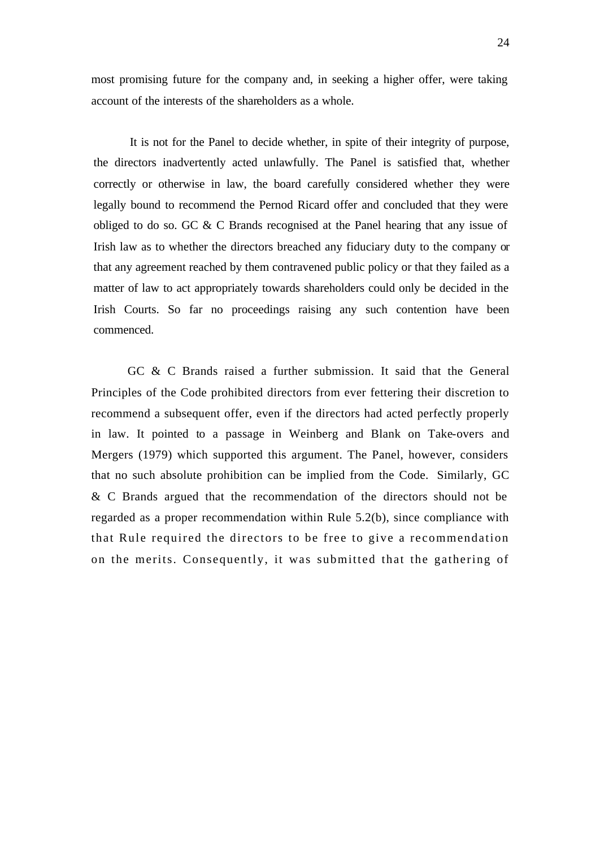most promising future for the company and, in seeking a higher offer, were taking account of the interests of the shareholders as a whole.

It is not for the Panel to decide whether, in spite of their integrity of purpose, the directors inadvertently acted unlawfully. The Panel is satisfied that, whether correctly or otherwise in law, the board carefully considered whether they were legally bound to recommend the Pernod Ricard offer and concluded that they were obliged to do so. GC & C Brands recognised at the Panel hearing that any issue of Irish law as to whether the directors breached any fiduciary duty to the company or that any agreement reached by them contravened public policy or that they failed as a matter of law to act appropriately towards shareholders could only be decided in the Irish Courts. So far no proceedings raising any such contention have been commenced.

GC & C Brands raised a further submission. It said that the General Principles of the Code prohibited directors from ever fettering their discretion to recommend a subsequent offer, even if the directors had acted perfectly properly in law. It pointed to a passage in Weinberg and Blank on Take-overs and Mergers (1979) which supported this argument. The Panel, however, considers that no such absolute prohibition can be implied from the Code. Similarly, GC & C Brands argued that the recommendation of the directors should not be regarded as a proper recommendation within Rule 5.2(b), since compliance with that Rule required the directors to be free to give a recommendation on the merits. Consequently, it was submitted that the gathering of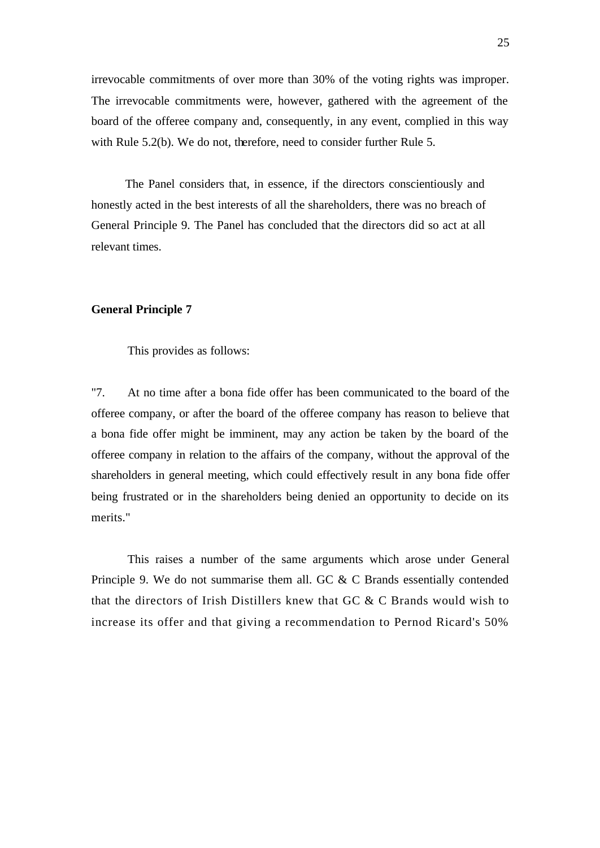irrevocable commitments of over more than 30% of the voting rights was improper. The irrevocable commitments were, however, gathered with the agreement of the board of the offeree company and, consequently, in any event, complied in this way with Rule 5.2(b). We do not, therefore, need to consider further Rule 5.

The Panel considers that, in essence, if the directors conscientiously and honestly acted in the best interests of all the shareholders, there was no breach of General Principle 9. The Panel has concluded that the directors did so act at all relevant times.

### **General Principle 7**

This provides as follows:

"7. At no time after a bona fide offer has been communicated to the board of the offeree company, or after the board of the offeree company has reason to believe that a bona fide offer might be imminent, may any action be taken by the board of the offeree company in relation to the affairs of the company, without the approval of the shareholders in general meeting, which could effectively result in any bona fide offer being frustrated or in the shareholders being denied an opportunity to decide on its merits."

This raises a number of the same arguments which arose under General Principle 9. We do not summarise them all. GC & C Brands essentially contended that the directors of Irish Distillers knew that GC & C Brands would wish to increase its offer and that giving a recommendation to Pernod Ricard's 50%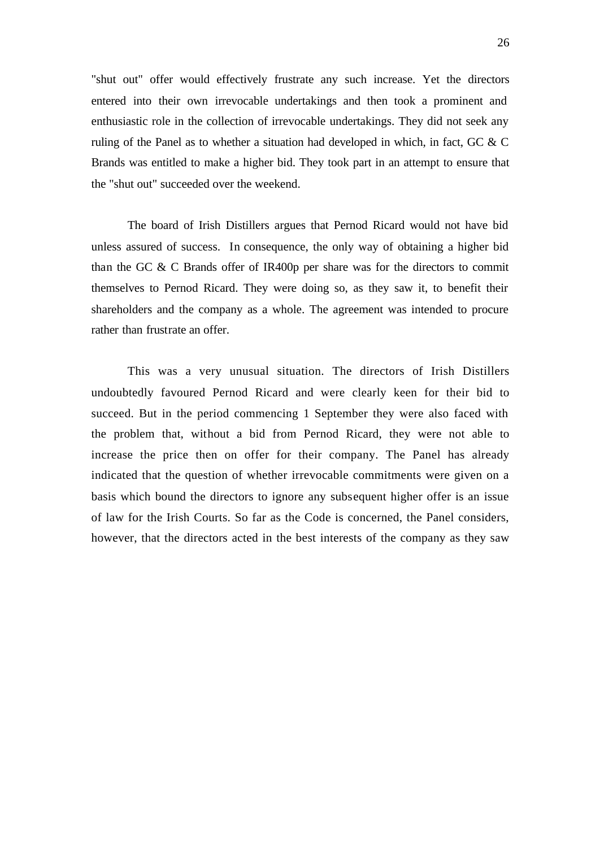"shut out" offer would effectively frustrate any such increase. Yet the directors entered into their own irrevocable undertakings and then took a prominent and enthusiastic role in the collection of irrevocable undertakings. They did not seek any ruling of the Panel as to whether a situation had developed in which, in fact, GC & C Brands was entitled to make a higher bid. They took part in an attempt to ensure that the "shut out" succeeded over the weekend.

The board of Irish Distillers argues that Pernod Ricard would not have bid unless assured of success. In consequence, the only way of obtaining a higher bid than the GC & C Brands offer of IR400p per share was for the directors to commit themselves to Pernod Ricard. They were doing so, as they saw it, to benefit their shareholders and the company as a whole. The agreement was intended to procure rather than frustrate an offer.

This was a very unusual situation. The directors of Irish Distillers undoubtedly favoured Pernod Ricard and were clearly keen for their bid to succeed. But in the period commencing 1 September they were also faced with the problem that, without a bid from Pernod Ricard, they were not able to increase the price then on offer for their company. The Panel has already indicated that the question of whether irrevocable commitments were given on a basis which bound the directors to ignore any subsequent higher offer is an issue of law for the Irish Courts. So far as the Code is concerned, the Panel considers, however, that the directors acted in the best interests of the company as they saw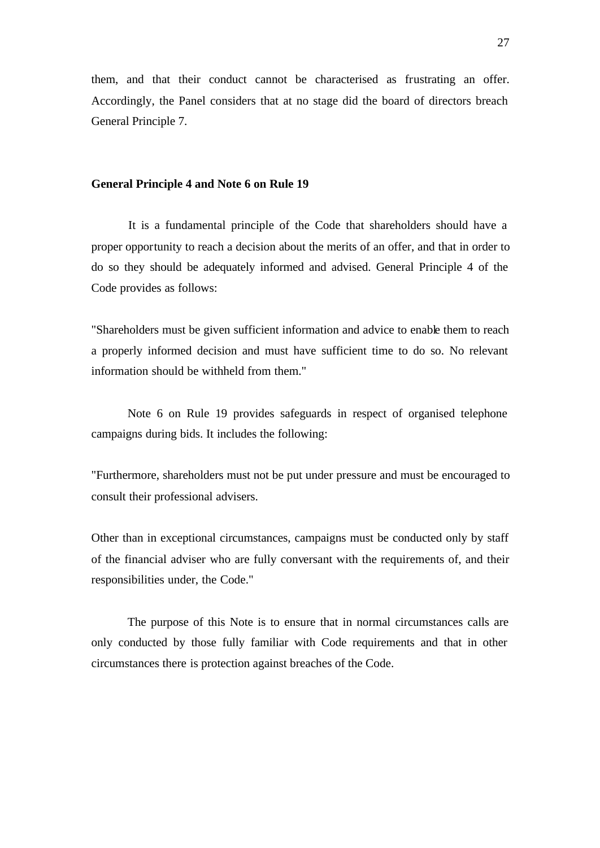them, and that their conduct cannot be characterised as frustrating an offer. Accordingly, the Panel considers that at no stage did the board of directors breach General Principle 7.

### **General Principle 4 and Note 6 on Rule 19**

It is a fundamental principle of the Code that shareholders should have a proper opportunity to reach a decision about the merits of an offer, and that in order to do so they should be adequately informed and advised. General Principle 4 of the Code provides as follows:

"Shareholders must be given sufficient information and advice to enable them to reach a properly informed decision and must have sufficient time to do so. No relevant information should be withheld from them."

Note 6 on Rule 19 provides safeguards in respect of organised telephone campaigns during bids. It includes the following:

"Furthermore, shareholders must not be put under pressure and must be encouraged to consult their professional advisers.

Other than in exceptional circumstances, campaigns must be conducted only by staff of the financial adviser who are fully conversant with the requirements of, and their responsibilities under, the Code."

The purpose of this Note is to ensure that in normal circumstances calls are only conducted by those fully familiar with Code requirements and that in other circumstances there is protection against breaches of the Code.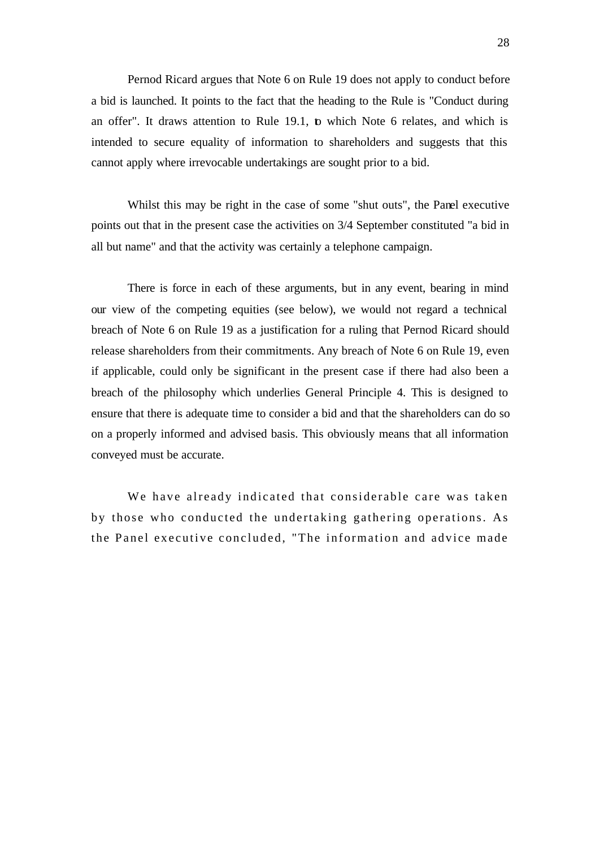Pernod Ricard argues that Note 6 on Rule 19 does not apply to conduct before a bid is launched. It points to the fact that the heading to the Rule is "Conduct during an offer". It draws attention to Rule 19.1, to which Note 6 relates, and which is intended to secure equality of information to shareholders and suggests that this cannot apply where irrevocable undertakings are sought prior to a bid.

Whilst this may be right in the case of some "shut outs", the Panel executive points out that in the present case the activities on 3/4 September constituted "a bid in all but name" and that the activity was certainly a telephone campaign.

There is force in each of these arguments, but in any event, bearing in mind our view of the competing equities (see below), we would not regard a technical breach of Note 6 on Rule 19 as a justification for a ruling that Pernod Ricard should release shareholders from their commitments. Any breach of Note 6 on Rule 19, even if applicable, could only be significant in the present case if there had also been a breach of the philosophy which underlies General Principle 4. This is designed to ensure that there is adequate time to consider a bid and that the shareholders can do so on a properly informed and advised basis. This obviously means that all information conveyed must be accurate.

We have already indicated that considerable care was taken by those who conducted the undertaking gathering operations. As the Panel executive concluded, "The information and advice made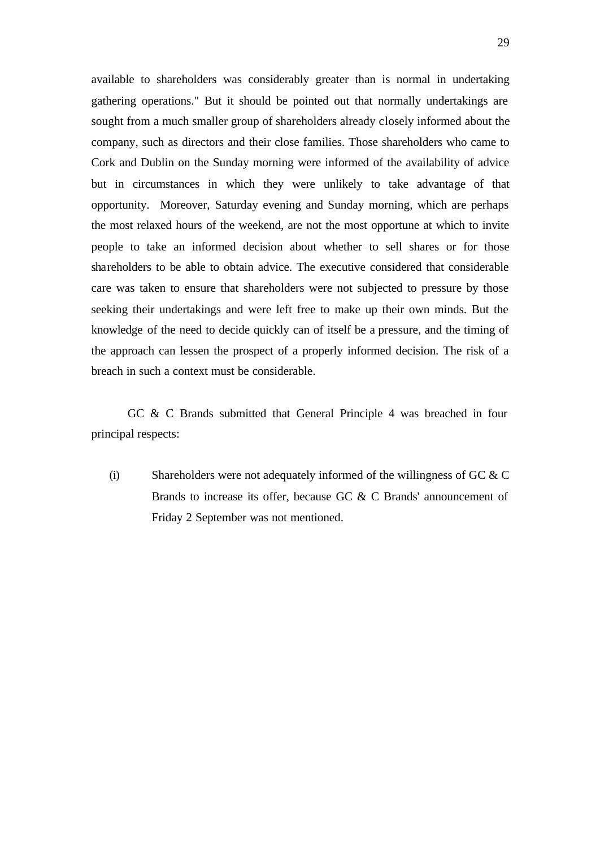available to shareholders was considerably greater than is normal in undertaking gathering operations." But it should be pointed out that normally undertakings are sought from a much smaller group of shareholders already closely informed about the company, such as directors and their close families. Those shareholders who came to Cork and Dublin on the Sunday morning were informed of the availability of advice but in circumstances in which they were unlikely to take advantage of that opportunity. Moreover, Saturday evening and Sunday morning, which are perhaps the most relaxed hours of the weekend, are not the most opportune at which to invite people to take an informed decision about whether to sell shares or for those shareholders to be able to obtain advice. The executive considered that considerable care was taken to ensure that shareholders were not subjected to pressure by those seeking their undertakings and were left free to make up their own minds. But the knowledge of the need to decide quickly can of itself be a pressure, and the timing of the approach can lessen the prospect of a properly informed decision. The risk of a breach in such a context must be considerable.

GC & C Brands submitted that General Principle 4 was breached in four principal respects:

(i) Shareholders were not adequately informed of the willingness of GC  $&$  C Brands to increase its offer, because GC & C Brands' announcement of Friday 2 September was not mentioned.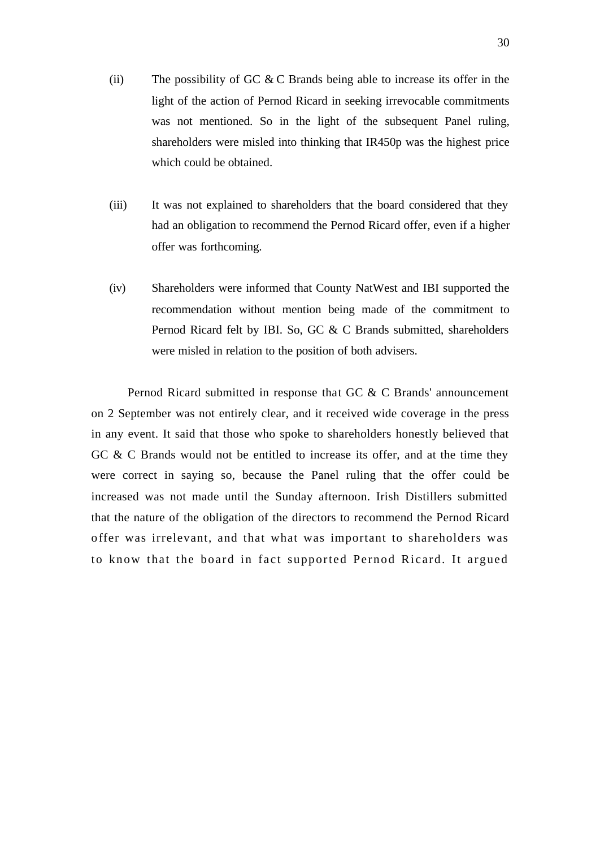- (ii) The possibility of GC  $&$  C Brands being able to increase its offer in the light of the action of Pernod Ricard in seeking irrevocable commitments was not mentioned. So in the light of the subsequent Panel ruling, shareholders were misled into thinking that IR450p was the highest price which could be obtained.
- (iii) It was not explained to shareholders that the board considered that they had an obligation to recommend the Pernod Ricard offer, even if a higher offer was forthcoming.
- (iv) Shareholders were informed that County NatWest and IBI supported the recommendation without mention being made of the commitment to Pernod Ricard felt by IBI. So, GC & C Brands submitted, shareholders were misled in relation to the position of both advisers.

Pernod Ricard submitted in response that GC & C Brands' announcement on 2 September was not entirely clear, and it received wide coverage in the press in any event. It said that those who spoke to shareholders honestly believed that GC & C Brands would not be entitled to increase its offer, and at the time they were correct in saying so, because the Panel ruling that the offer could be increased was not made until the Sunday afternoon. Irish Distillers submitted that the nature of the obligation of the directors to recommend the Pernod Ricard offer was irrelevant, and that what was important to shareholders was to know that the board in fact supported Pernod Ricard. It argued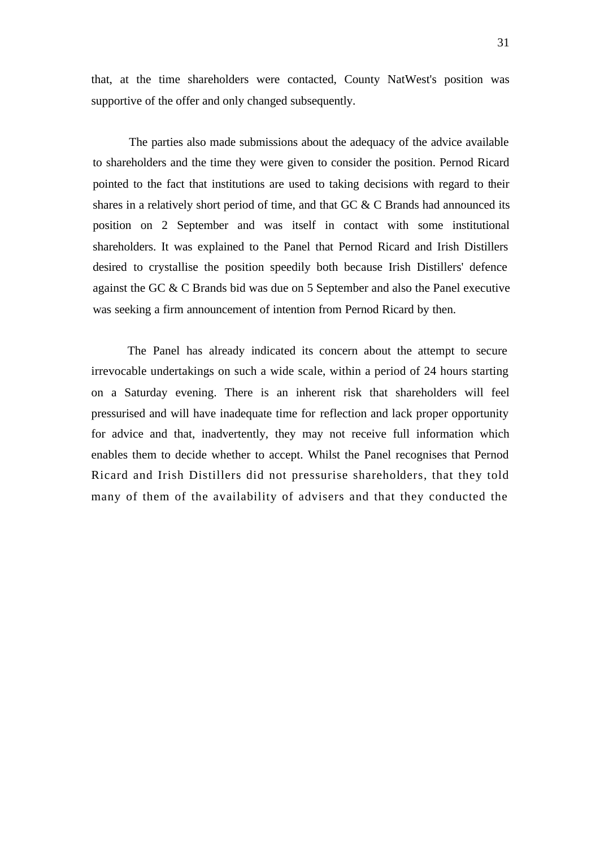that, at the time shareholders were contacted, County NatWest's position was supportive of the offer and only changed subsequently.

The parties also made submissions about the adequacy of the advice available to shareholders and the time they were given to consider the position. Pernod Ricard pointed to the fact that institutions are used to taking decisions with regard to their shares in a relatively short period of time, and that GC & C Brands had announced its position on 2 September and was itself in contact with some institutional shareholders. It was explained to the Panel that Pernod Ricard and Irish Distillers desired to crystallise the position speedily both because Irish Distillers' defence against the GC & C Brands bid was due on 5 September and also the Panel executive was seeking a firm announcement of intention from Pernod Ricard by then.

The Panel has already indicated its concern about the attempt to secure irrevocable undertakings on such a wide scale, within a period of 24 hours starting on a Saturday evening. There is an inherent risk that shareholders will feel pressurised and will have inadequate time for reflection and lack proper opportunity for advice and that, inadvertently, they may not receive full information which enables them to decide whether to accept. Whilst the Panel recognises that Pernod Ricard and Irish Distillers did not pressurise shareholders, that they told many of them of the availability of advisers and that they conducted the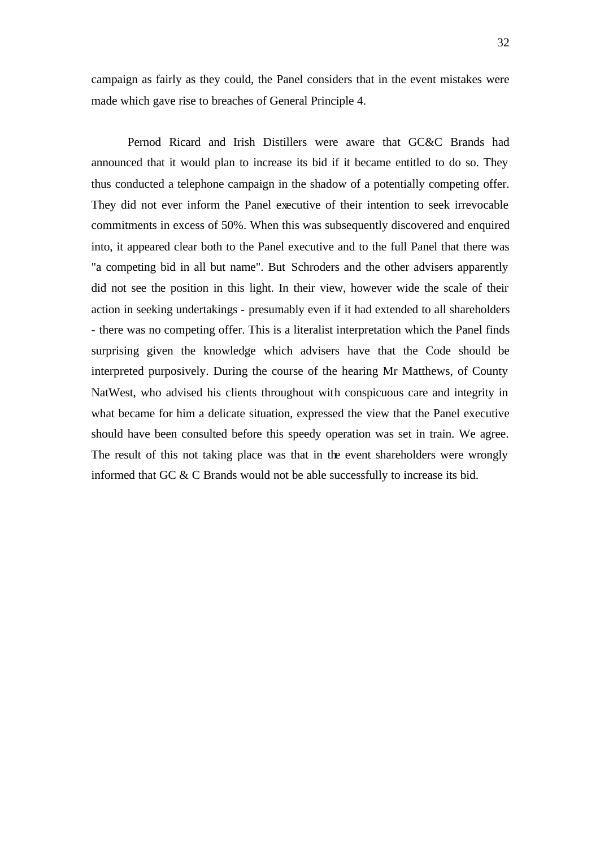campaign as fairly as they could, the Panel considers that in the event mistakes were made which gave rise to breaches of General Principle 4.

Pernod Ricard and Irish Distillers were aware that GC&C Brands had announced that it would plan to increase its bid if it became entitled to do so. They thus conducted a telephone campaign in the shadow of a potentially competing offer. They did not ever inform the Panel executive of their intention to seek irrevocable commitments in excess of 50%. When this was subsequently discovered and enquired into, it appeared clear both to the Panel executive and to the full Panel that there was "a competing bid in all but name". But Schroders and the other advisers apparently did not see the position in this light. In their view, however wide the scale of their action in seeking undertakings - presumably even if it had extended to all shareholders - there was no competing offer. This is a literalist interpretation which the Panel finds surprising given the knowledge which advisers have that the Code should be interpreted purposively. During the course of the hearing Mr Matthews, of County NatWest, who advised his clients throughout with conspicuous care and integrity in what became for him a delicate situation, expressed the view that the Panel executive should have been consulted before this speedy operation was set in train. We agree. The result of this not taking place was that in the event shareholders were wrongly informed that GC & C Brands would not be able successfully to increase its bid.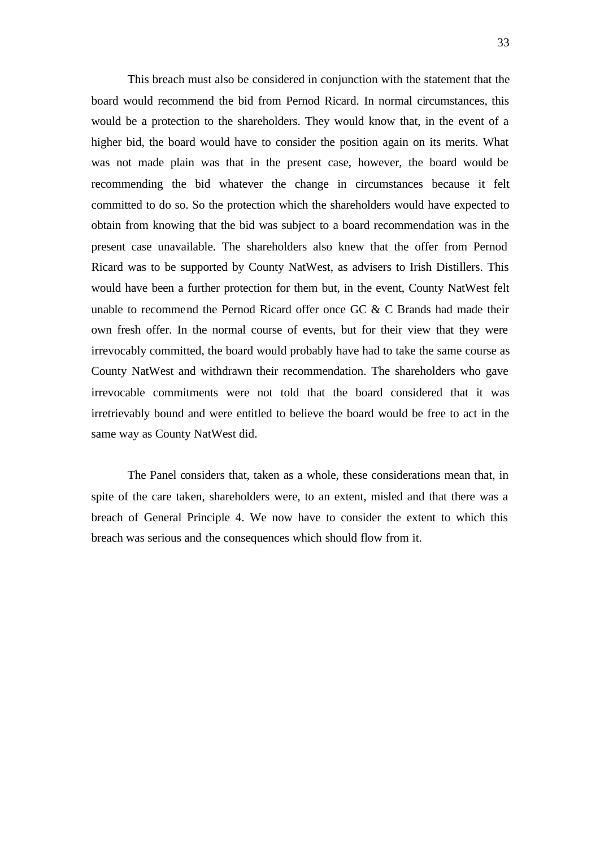This breach must also be considered in conjunction with the statement that the board would recommend the bid from Pernod Ricard. In normal circumstances, this would be a protection to the shareholders. They would know that, in the event of a higher bid, the board would have to consider the position again on its merits. What was not made plain was that in the present case, however, the board would be recommending the bid whatever the change in circumstances because it felt committed to do so. So the protection which the shareholders would have expected to obtain from knowing that the bid was subject to a board recommendation was in the present case unavailable. The shareholders also knew that the offer from Pernod Ricard was to be supported by County NatWest, as advisers to Irish Distillers. This would have been a further protection for them but, in the event, County NatWest felt unable to recommend the Pernod Ricard offer once GC  $\&$  C Brands had made their own fresh offer. In the normal course of events, but for their view that they were irrevocably committed, the board would probably have had to take the same course as County NatWest and withdrawn their recommendation. The shareholders who gave irrevocable commitments were not told that the board considered that it was irretrievably bound and were entitled to believe the board would be free to act in the same way as County NatWest did.

The Panel considers that, taken as a whole, these considerations mean that, in spite of the care taken, shareholders were, to an extent, misled and that there was a breach of General Principle 4. We now have to consider the extent to which this breach was serious and the consequences which should flow from it.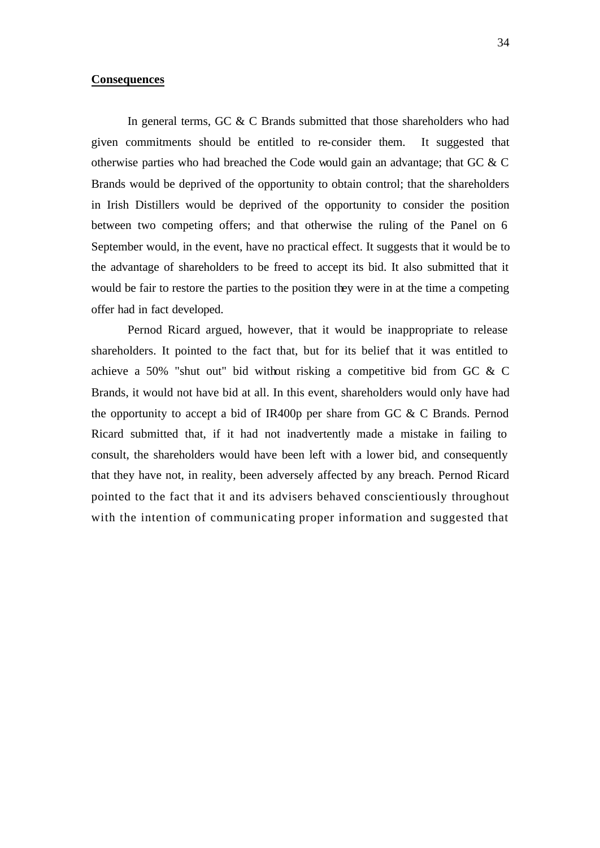### **Consequences**

In general terms, GC & C Brands submitted that those shareholders who had given commitments should be entitled to re-consider them. It suggested that otherwise parties who had breached the Code would gain an advantage; that GC & C Brands would be deprived of the opportunity to obtain control; that the shareholders in Irish Distillers would be deprived of the opportunity to consider the position between two competing offers; and that otherwise the ruling of the Panel on 6 September would, in the event, have no practical effect. It suggests that it would be to the advantage of shareholders to be freed to accept its bid. It also submitted that it would be fair to restore the parties to the position they were in at the time a competing offer had in fact developed.

Pernod Ricard argued, however, that it would be inappropriate to release shareholders. It pointed to the fact that, but for its belief that it was entitled to achieve a 50% "shut out" bid without risking a competitive bid from GC & C Brands, it would not have bid at all. In this event, shareholders would only have had the opportunity to accept a bid of IR400p per share from GC & C Brands. Pernod Ricard submitted that, if it had not inadvertently made a mistake in failing to consult, the shareholders would have been left with a lower bid, and consequently that they have not, in reality, been adversely affected by any breach. Pernod Ricard pointed to the fact that it and its advisers behaved conscientiously throughout with the intention of communicating proper information and suggested that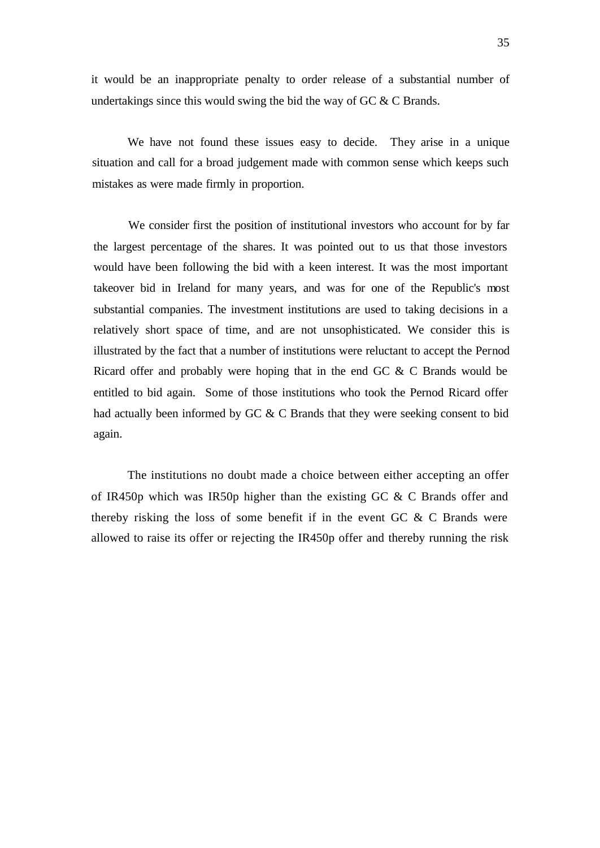it would be an inappropriate penalty to order release of a substantial number of undertakings since this would swing the bid the way of GC  $&$  C Brands.

We have not found these issues easy to decide. They arise in a unique situation and call for a broad judgement made with common sense which keeps such mistakes as were made firmly in proportion.

We consider first the position of institutional investors who account for by far the largest percentage of the shares. It was pointed out to us that those investors would have been following the bid with a keen interest. It was the most important takeover bid in Ireland for many years, and was for one of the Republic's most substantial companies. The investment institutions are used to taking decisions in a relatively short space of time, and are not unsophisticated. We consider this is illustrated by the fact that a number of institutions were reluctant to accept the Pernod Ricard offer and probably were hoping that in the end GC & C Brands would be entitled to bid again. Some of those institutions who took the Pernod Ricard offer had actually been informed by GC & C Brands that they were seeking consent to bid again.

The institutions no doubt made a choice between either accepting an offer of IR450p which was IR50p higher than the existing GC & C Brands offer and thereby risking the loss of some benefit if in the event GC & C Brands were allowed to raise its offer or rejecting the IR450p offer and thereby running the risk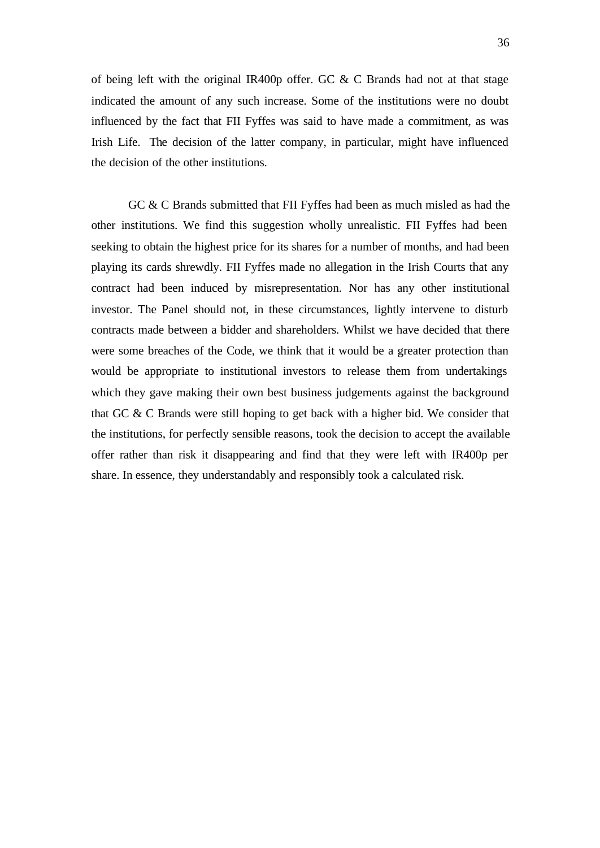of being left with the original IR400p offer. GC & C Brands had not at that stage indicated the amount of any such increase. Some of the institutions were no doubt influenced by the fact that FII Fyffes was said to have made a commitment, as was Irish Life. The decision of the latter company, in particular, might have influenced the decision of the other institutions.

GC & C Brands submitted that FII Fyffes had been as much misled as had the other institutions. We find this suggestion wholly unrealistic. FII Fyffes had been seeking to obtain the highest price for its shares for a number of months, and had been playing its cards shrewdly. FII Fyffes made no allegation in the Irish Courts that any contract had been induced by misrepresentation. Nor has any other institutional investor. The Panel should not, in these circumstances, lightly intervene to disturb contracts made between a bidder and shareholders. Whilst we have decided that there were some breaches of the Code, we think that it would be a greater protection than would be appropriate to institutional investors to release them from undertakings which they gave making their own best business judgements against the background that GC & C Brands were still hoping to get back with a higher bid. We consider that the institutions, for perfectly sensible reasons, took the decision to accept the available offer rather than risk it disappearing and find that they were left with IR400p per share. In essence, they understandably and responsibly took a calculated risk.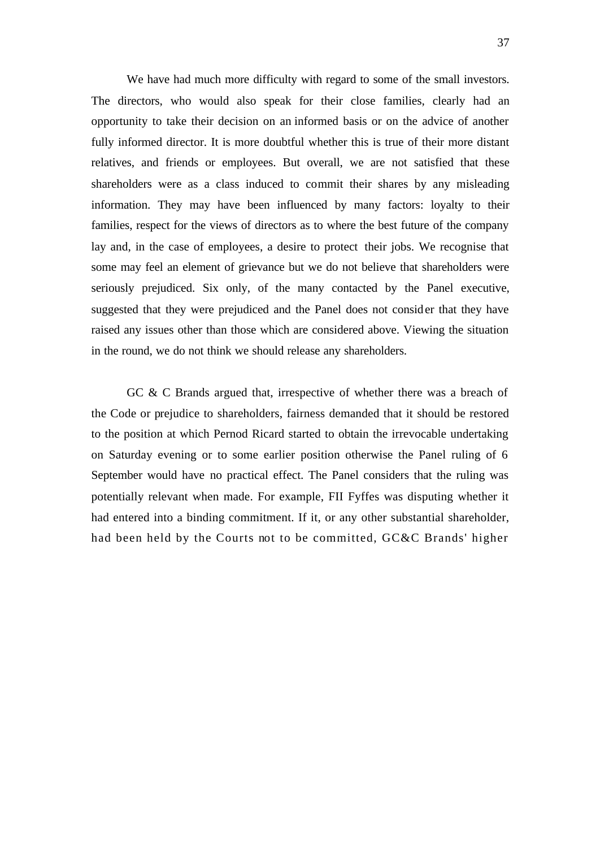We have had much more difficulty with regard to some of the small investors. The directors, who would also speak for their close families, clearly had an opportunity to take their decision on an informed basis or on the advice of another fully informed director. It is more doubtful whether this is true of their more distant relatives, and friends or employees. But overall, we are not satisfied that these shareholders were as a class induced to commit their shares by any misleading information. They may have been influenced by many factors: loyalty to their families, respect for the views of directors as to where the best future of the company lay and, in the case of employees, a desire to protect their jobs. We recognise that some may feel an element of grievance but we do not believe that shareholders were seriously prejudiced. Six only, of the many contacted by the Panel executive, suggested that they were prejudiced and the Panel does not consider that they have raised any issues other than those which are considered above. Viewing the situation in the round, we do not think we should release any shareholders.

GC & C Brands argued that, irrespective of whether there was a breach of the Code or prejudice to shareholders, fairness demanded that it should be restored to the position at which Pernod Ricard started to obtain the irrevocable undertaking on Saturday evening or to some earlier position otherwise the Panel ruling of 6 September would have no practical effect. The Panel considers that the ruling was potentially relevant when made. For example, FII Fyffes was disputing whether it had entered into a binding commitment. If it, or any other substantial shareholder, had been held by the Courts not to be committed, GC&C Brands' higher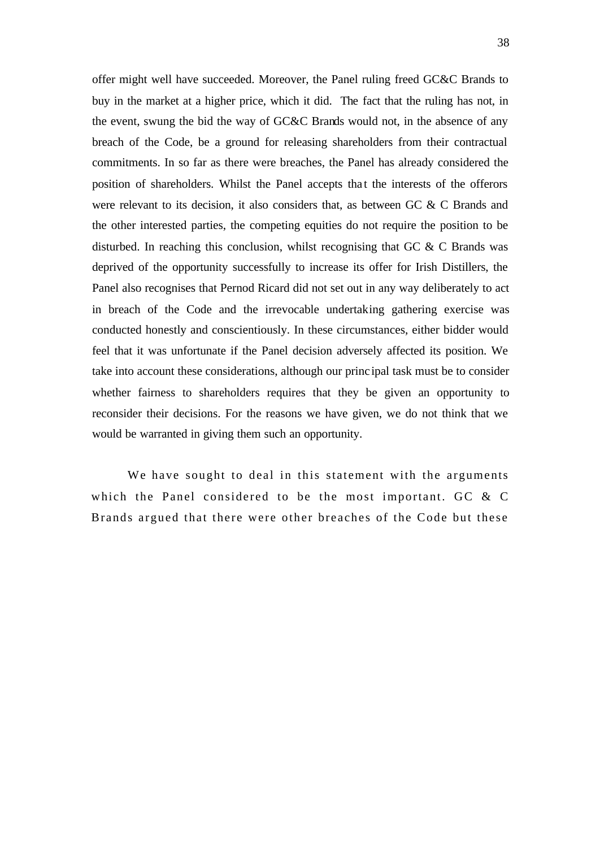offer might well have succeeded. Moreover, the Panel ruling freed GC&C Brands to buy in the market at a higher price, which it did. The fact that the ruling has not, in the event, swung the bid the way of GC&C Brands would not, in the absence of any breach of the Code, be a ground for releasing shareholders from their contractual commitments. In so far as there were breaches, the Panel has already considered the position of shareholders. Whilst the Panel accepts that the interests of the offerors were relevant to its decision, it also considers that, as between GC & C Brands and the other interested parties, the competing equities do not require the position to be disturbed. In reaching this conclusion, whilst recognising that GC  $\&$  C Brands was deprived of the opportunity successfully to increase its offer for Irish Distillers, the Panel also recognises that Pernod Ricard did not set out in any way deliberately to act in breach of the Code and the irrevocable undertaking gathering exercise was conducted honestly and conscientiously. In these circumstances, either bidder would feel that it was unfortunate if the Panel decision adversely affected its position. We take into account these considerations, although our princ ipal task must be to consider whether fairness to shareholders requires that they be given an opportunity to reconsider their decisions. For the reasons we have given, we do not think that we would be warranted in giving them such an opportunity.

We have sought to deal in this statement with the arguments which the Panel considered to be the most important. GC & C Brands argued that there were other breaches of the Code but these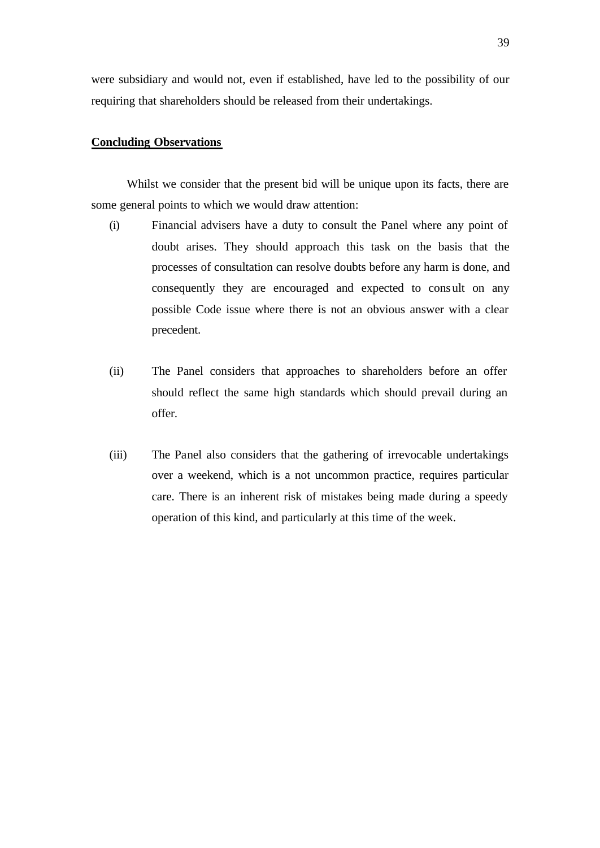were subsidiary and would not, even if established, have led to the possibility of our requiring that shareholders should be released from their undertakings.

# **Concluding Observations**

Whilst we consider that the present bid will be unique upon its facts, there are some general points to which we would draw attention:

- (i) Financial advisers have a duty to consult the Panel where any point of doubt arises. They should approach this task on the basis that the processes of consultation can resolve doubts before any harm is done, and consequently they are encouraged and expected to consult on any possible Code issue where there is not an obvious answer with a clear precedent.
- (ii) The Panel considers that approaches to shareholders before an offer should reflect the same high standards which should prevail during an offer.
- (iii) The Panel also considers that the gathering of irrevocable undertakings over a weekend, which is a not uncommon practice, requires particular care. There is an inherent risk of mistakes being made during a speedy operation of this kind, and particularly at this time of the week.